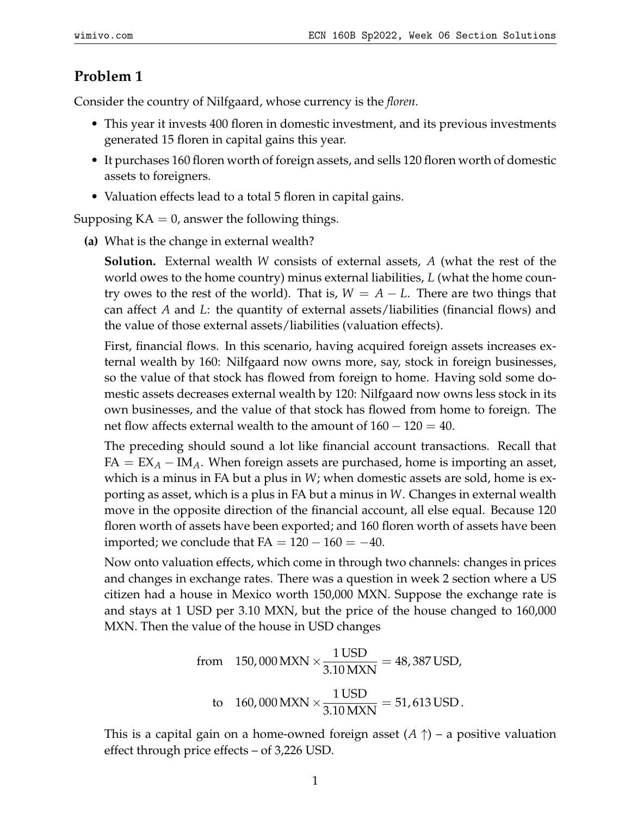## **Problem 1**

Consider the country of Nilfgaard, whose currency is the *floren*.

- This year it invests 400 floren in domestic investment, and its previous investments generated 15 floren in capital gains this year.
- It purchases 160 floren worth of foreign assets, and sells 120 floren worth of domestic assets to foreigners.
- Valuation effects lead to a total 5 floren in capital gains.

Supposing  $KA = 0$ , answer the following things.

**(a)** What is the change in external wealth?

**Solution.** External wealth *W* consists of external assets, *A* (what the rest of the world owes to the home country) minus external liabilities, *L* (what the home country owes to the rest of the world). That is,  $W = A - L$ . There are two things that can affect *A* and *L*: the quantity of external assets/liabilities (financial flows) and the value of those external assets/liabilities (valuation effects).

First, financial flows. In this scenario, having acquired foreign assets increases external wealth by 160: Nilfgaard now owns more, say, stock in foreign businesses, so the value of that stock has flowed from foreign to home. Having sold some domestic assets decreases external wealth by 120: Nilfgaard now owns less stock in its own businesses, and the value of that stock has flowed from home to foreign. The net flow affects external wealth to the amount of  $160 - 120 = 40$ .

The preceding should sound a lot like financial account transactions. Recall that  $FA = EX_A - IM_A$ . When foreign assets are purchased, home is importing an asset, which is a minus in FA but a plus in *W*; when domestic assets are sold, home is exporting as asset, which is a plus in FA but a minus in *W*. Changes in external wealth move in the opposite direction of the financial account, all else equal. Because 120 floren worth of assets have been exported; and 160 floren worth of assets have been imported; we conclude that  $FA = 120 - 160 = -40$ .

Now onto valuation effects, which come in through two channels: changes in prices and changes in exchange rates. There was a question in week 2 section where a US citizen had a house in Mexico worth 150,000 MXN. Suppose the exchange rate is and stays at 1 USD per 3.10 MXN, but the price of the house changed to 160,000 MXN. Then the value of the house in USD changes

from 150,000 MXN 
$$
\times \frac{1 \text{ USD}}{3.10 \text{ MXN}} = 48,387 \text{ USD},
$$
  
to 160,000 MXN  $\times \frac{1 \text{ USD}}{3.10 \text{ MXN}} = 51,613 \text{ USD}.$ 

This is a capital gain on a home-owned foreign asset  $(A \uparrow)$  – a positive valuation effect through price effects – of 3,226 USD.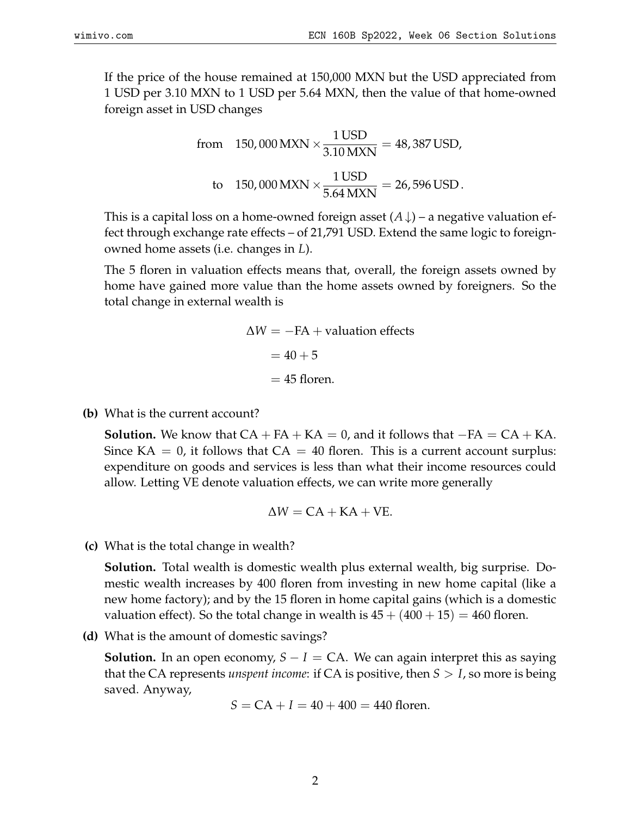If the price of the house remained at 150,000 MXN but the USD appreciated from 1 USD per 3.10 MXN to 1 USD per 5.64 MXN, then the value of that home-owned foreign asset in USD changes

from 150,000 MXN 
$$
\times \frac{1 \text{ USD}}{3.10 \text{ MXN}} = 48,387 \text{ USD},
$$
  
to 150,000 MXN  $\times \frac{1 \text{ USD}}{5.64 \text{ MXN}} = 26,596 \text{ USD}.$ 

This is a capital loss on a home-owned foreign asset  $(A \downarrow)$  – a negative valuation effect through exchange rate effects – of 21,791 USD. Extend the same logic to foreignowned home assets (i.e. changes in *L*).

The 5 floren in valuation effects means that, overall, the foreign assets owned by home have gained more value than the home assets owned by foreigners. So the total change in external wealth is

$$
\Delta W = -FA + \text{valuation effects}
$$

$$
= 40 + 5
$$

$$
= 45 \text{ floren.}
$$

**(b)** What is the current account?

**Solution.** We know that  $CA + FA + KA = 0$ , and it follows that  $-FA = CA + KA$ . Since  $KA = 0$ , it follows that  $CA = 40$  floren. This is a current account surplus: expenditure on goods and services is less than what their income resources could allow. Letting VE denote valuation effects, we can write more generally

$$
\Delta W = CA + KA + VE.
$$

**(c)** What is the total change in wealth?

**Solution.** Total wealth is domestic wealth plus external wealth, big surprise. Domestic wealth increases by 400 floren from investing in new home capital (like a new home factory); and by the 15 floren in home capital gains (which is a domestic valuation effect). So the total change in wealth is  $45 + (400 + 15) = 460$  floren.

**(d)** What is the amount of domestic savings?

**Solution.** In an open economy,  $S - I = CA$ . We can again interpret this as saying that the CA represents *unspent income*: if CA is positive, then *S* > *I*, so more is being saved. Anyway,

$$
S = CA + I = 40 + 400 = 440
$$
 floren.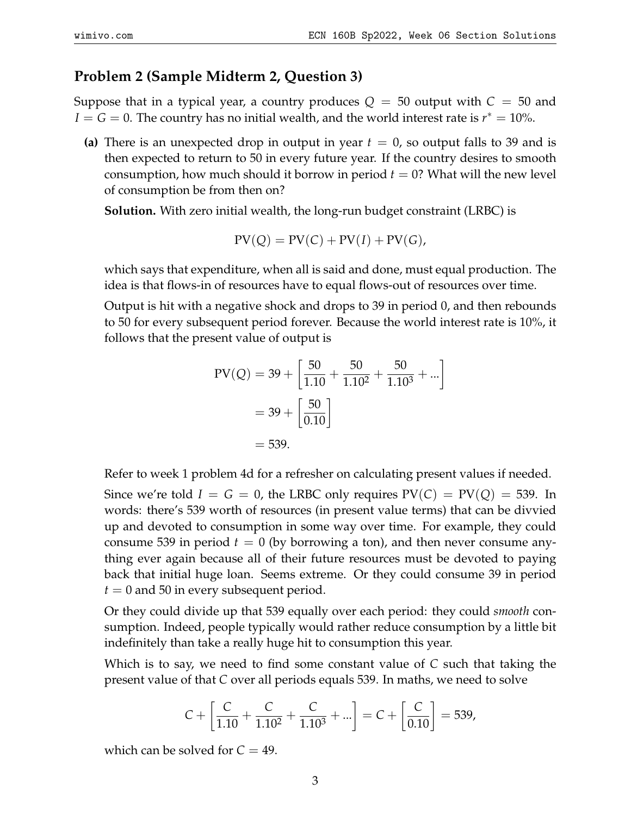## **Problem 2 (Sample Midterm 2, Question 3)**

Suppose that in a typical year, a country produces  $Q = 50$  output with  $C = 50$  and  $I = G = 0$ . The country has no initial wealth, and the world interest rate is  $r^* = 10$ %.

(a) There is an unexpected drop in output in year  $t = 0$ , so output falls to 39 and is then expected to return to 50 in every future year. If the country desires to smooth consumption, how much should it borrow in period  $t = 0$ ? What will the new level of consumption be from then on?

**Solution.** With zero initial wealth, the long-run budget constraint (LRBC) is

$$
PV(Q) = PV(C) + PV(I) + PV(G),
$$

which says that expenditure, when all is said and done, must equal production. The idea is that flows-in of resources have to equal flows-out of resources over time.

Output is hit with a negative shock and drops to 39 in period 0, and then rebounds to 50 for every subsequent period forever. Because the world interest rate is 10%, it follows that the present value of output is

$$
PV(Q) = 39 + \left[\frac{50}{1.10} + \frac{50}{1.10^2} + \frac{50}{1.10^3} + \dots\right]
$$

$$
= 39 + \left[\frac{50}{0.10}\right]
$$

$$
= 539.
$$

Refer to week 1 problem 4d for a refresher on calculating present values if needed.

Since we're told  $I = G = 0$ , the LRBC only requires  $PV(C) = PV(Q) = 539$ . In words: there's 539 worth of resources (in present value terms) that can be divvied up and devoted to consumption in some way over time. For example, they could consume 539 in period  $t = 0$  (by borrowing a ton), and then never consume anything ever again because all of their future resources must be devoted to paying back that initial huge loan. Seems extreme. Or they could consume 39 in period  $t = 0$  and 50 in every subsequent period.

Or they could divide up that 539 equally over each period: they could *smooth* consumption. Indeed, people typically would rather reduce consumption by a little bit indefinitely than take a really huge hit to consumption this year.

Which is to say, we need to find some constant value of *C* such that taking the present value of that *C* over all periods equals 539. In maths, we need to solve

$$
C + \left[ \frac{C}{1.10} + \frac{C}{1.10^2} + \frac{C}{1.10^3} + \ldots \right] = C + \left[ \frac{C}{0.10} \right] = 539,
$$

which can be solved for  $C = 49$ .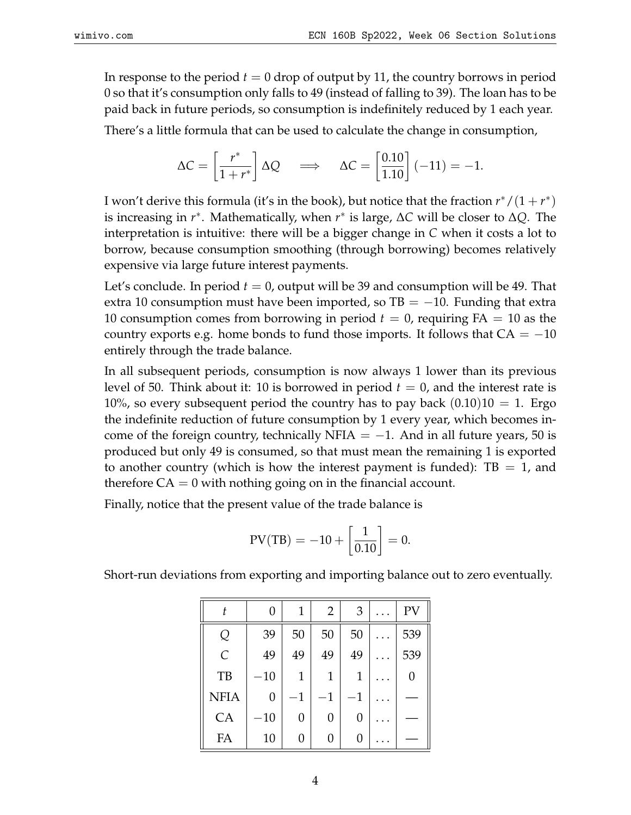In response to the period  $t = 0$  drop of output by 11, the country borrows in period 0 so that it's consumption only falls to 49 (instead of falling to 39). The loan has to be paid back in future periods, so consumption is indefinitely reduced by 1 each year.

There's a little formula that can be used to calculate the change in consumption,

$$
\Delta C = \begin{bmatrix} r^* \\ \hline 1 + r^* \end{bmatrix} \Delta Q \quad \Longrightarrow \quad \Delta C = \begin{bmatrix} 0.10 \\ \hline 1.10 \end{bmatrix} (-11) = -1.
$$

I won't derive this formula (it's in the book), but notice that the fraction  $r^*/(1+r^*)$ is increasing in *r* ∗ . Mathematically, when *r* ∗ is large, ∆*C* will be closer to ∆*Q*. The interpretation is intuitive: there will be a bigger change in *C* when it costs a lot to borrow, because consumption smoothing (through borrowing) becomes relatively expensive via large future interest payments.

Let's conclude. In period *t* = 0, output will be 39 and consumption will be 49. That extra 10 consumption must have been imported, so  $TB = -10$ . Funding that extra 10 consumption comes from borrowing in period  $t = 0$ , requiring  $FA = 10$  as the country exports e.g. home bonds to fund those imports. It follows that  $CA = -10$ entirely through the trade balance.

In all subsequent periods, consumption is now always 1 lower than its previous level of 50. Think about it: 10 is borrowed in period  $t = 0$ , and the interest rate is 10%, so every subsequent period the country has to pay back  $(0.10)10 = 1$ . Ergo the indefinite reduction of future consumption by 1 every year, which becomes income of the foreign country, technically NFIA =  $-1$ . And in all future years, 50 is produced but only 49 is consumed, so that must mean the remaining 1 is exported to another country (which is how the interest payment is funded):  $TB = 1$ , and therefore  $CA = 0$  with nothing going on in the financial account.

Finally, notice that the present value of the trade balance is

$$
PV(TB) = -10 + \left[\frac{1}{0.10}\right] = 0.
$$

Short-run deviations from exporting and importing balance out to zero eventually.

|               | 0     | 1           | $\overline{2}$ | 3    | PV  |
|---------------|-------|-------------|----------------|------|-----|
| Q             | 39    | 50          | 50             | 50   | 539 |
| $\mathcal{C}$ | 49    | 49          | 49             | 49   | 539 |
| TB            | $-10$ | 1           | 1              | 1    | 0   |
| <b>NFIA</b>   | 0     | $^{\rm -1}$ | $-1$           | $-1$ |     |
| CA            | $-10$ | 0           | 0              | 0    |     |
| FA            | 10    | 0           | 0              | 0    |     |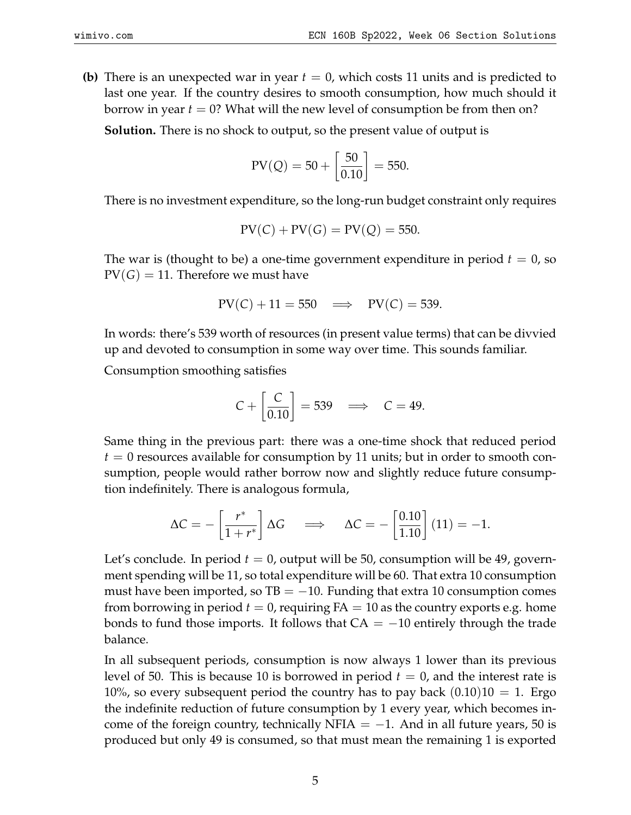**(b)** There is an unexpected war in year *t* = 0, which costs 11 units and is predicted to last one year. If the country desires to smooth consumption, how much should it borrow in year  $t = 0$ ? What will the new level of consumption be from then on?

**Solution.** There is no shock to output, so the present value of output is

$$
PV(Q) = 50 + \left[\frac{50}{0.10}\right] = 550.
$$

There is no investment expenditure, so the long-run budget constraint only requires

$$
PV(C) + PV(G) = PV(Q) = 550.
$$

The war is (thought to be) a one-time government expenditure in period  $t = 0$ , so  $PV(G) = 11$ . Therefore we must have

$$
PV(C) + 11 = 550 \implies PV(C) = 539.
$$

In words: there's 539 worth of resources (in present value terms) that can be divvied up and devoted to consumption in some way over time. This sounds familiar.

Consumption smoothing satisfies

$$
C + \left[\frac{C}{0.10}\right] = 539 \implies C = 49.
$$

Same thing in the previous part: there was a one-time shock that reduced period  $t = 0$  resources available for consumption by 11 units; but in order to smooth consumption, people would rather borrow now and slightly reduce future consumption indefinitely. There is analogous formula,

$$
\Delta C = -\left[\frac{r^*}{1+r^*}\right] \Delta G \quad \Longrightarrow \quad \Delta C = -\left[\frac{0.10}{1.10}\right] (11) = -1.
$$

Let's conclude. In period  $t = 0$ , output will be 50, consumption will be 49, government spending will be 11, so total expenditure will be 60. That extra 10 consumption must have been imported, so  $TB = -10$ . Funding that extra 10 consumption comes from borrowing in period  $t = 0$ , requiring  $FA = 10$  as the country exports e.g. home bonds to fund those imports. It follows that  $CA = -10$  entirely through the trade balance.

In all subsequent periods, consumption is now always 1 lower than its previous level of 50. This is because 10 is borrowed in period  $t = 0$ , and the interest rate is 10%, so every subsequent period the country has to pay back  $(0.10)10 = 1$ . Ergo the indefinite reduction of future consumption by 1 every year, which becomes income of the foreign country, technically NFIA  $= -1$ . And in all future years, 50 is produced but only 49 is consumed, so that must mean the remaining 1 is exported